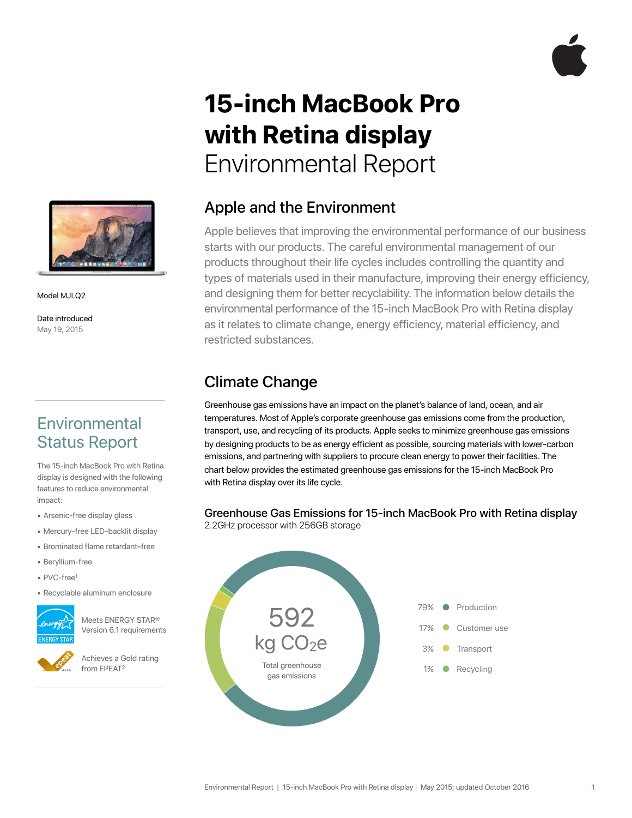

# **15-inch MacBook Pro with Retina display**  Environmental Report



Model MJLQ2

Date introduced May 19, 2015

# **Environmental** Status Report

The 15-inch MacBook Pro with Retina display is designed with the following features to reduce environmental impact:

- Arsenic-free display glass
- Mercury-free LED-backlit display
- Brominated flame retardant–free
- Beryllium-free
- PVC-free1
- Recyclable aluminum enclosure



Meets ENERGY STAR® Version 6.1 requirements

Achieves a Gold rating from EPEAT2

### Apple and the Environment

Apple believes that improving the environmental performance of our business starts with our products. The careful environmental management of our products throughout their life cycles includes controlling the quantity and types of materials used in their manufacture, improving their energy efficiency, and designing them for better recyclability. The information below details the environmental performance of the 15-inch MacBook Pro with Retina display as it relates to climate change, energy efficiency, material efficiency, and restricted substances.

### Climate Change

Greenhouse gas emissions have an impact on the planet's balance of land, ocean, and air temperatures. Most of Apple's corporate greenhouse gas emissions come from the production, transport, use, and recycling of its products. Apple seeks to minimize greenhouse gas emissions by designing products to be as energy efficient as possible, sourcing materials with lower-carbon emissions, and partnering with suppliers to procure clean energy to power their facilities. The chart below provides the estimated greenhouse gas emissions for the 15-inch MacBook Pro with Retina display over its life cycle.

#### Greenhouse Gas Emissions for 15-inch MacBook Pro with Retina display

2.2GHz processor with 256GB storage

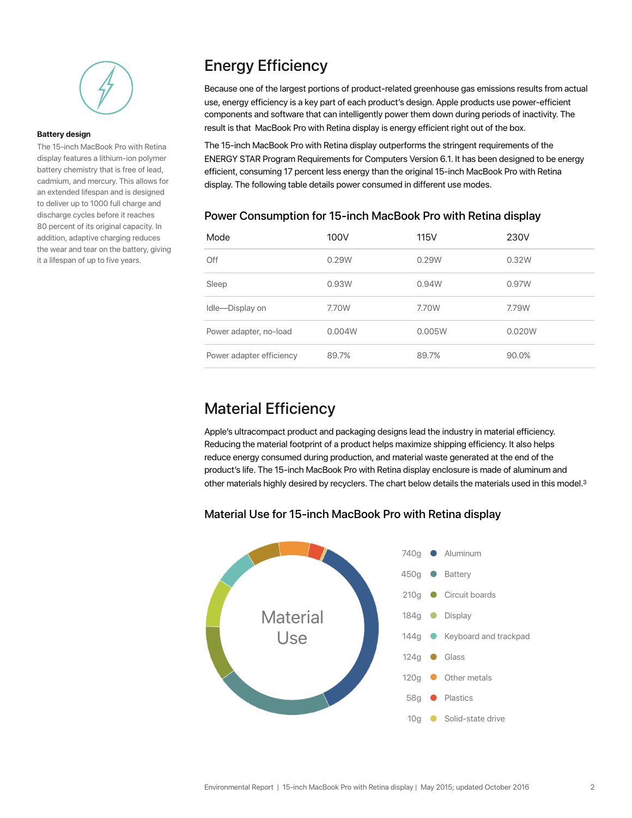

#### **Battery design**

The 15-inch MacBook Pro with Retina display features a lithium-ion polymer battery chemistry that is free of lead, cadmium, and mercury. This allows for an extended lifespan and is designed to deliver up to 1000 full charge and discharge cycles before it reaches 80 percent of its original capacity. In addition, adaptive charging reduces the wear and tear on the battery, giving it a lifespan of up to five years.

# Energy Efficiency

Because one of the largest portions of product-related greenhouse gas emissions results from actual use, energy efficiency is a key part of each product's design. Apple products use power-efficient components and software that can intelligently power them down during periods of inactivity. The result is that MacBook Pro with Retina display is energy efficient right out of the box.

The 15-inch MacBook Pro with Retina display outperforms the stringent requirements of the ENERGY STAR Program Requirements for Computers Version 6.1. It has been designed to be energy efficient, consuming 17 percent less energy than the original 15-inch MacBook Pro with Retina display. The following table details power consumed in different use modes.

# Mode 100V 115V 230V Off 0.29W 0.29W 0.32W Sleep 0.93W 0.94W 0.97W Idle—Display on 7.70W 7.70W 7.79W Power adapter, no-load 0.004W 0.005W 0.020W Power adapter efficiency 89.7% 89.7% 89.7% 89.7% 89.9%

#### Power Consumption for 15-inch MacBook Pro with Retina display

### Material Efficiency

Apple's ultracompact product and packaging designs lead the industry in material efficiency. Reducing the material footprint of a product helps maximize shipping efficiency. It also helps reduce energy consumed during production, and material waste generated at the end of the product's life. The 15-inch MacBook Pro with Retina display enclosure is made of aluminum and other materials highly desired by recyclers. The chart below details the materials used in this model.3

#### Material Use for 15-inch MacBook Pro with Retina display

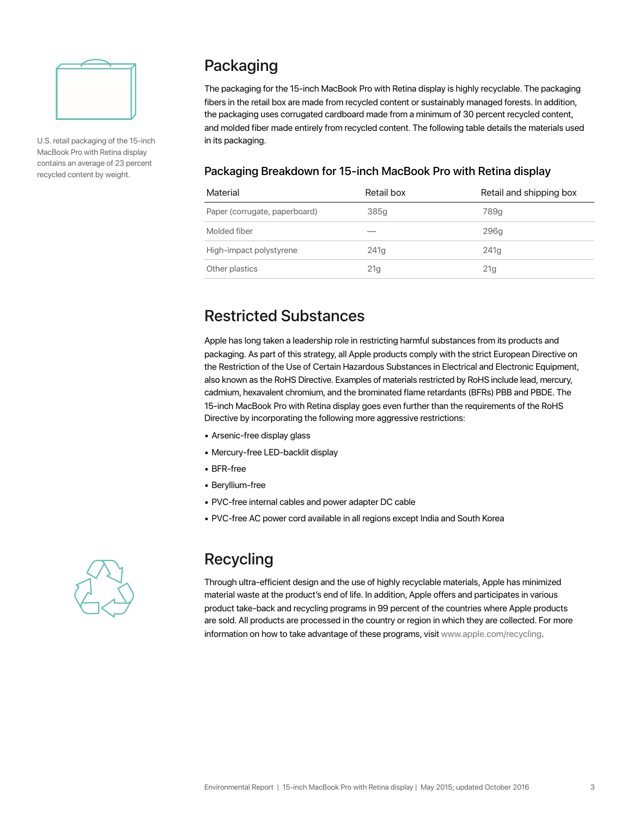

U.S. retail packaging of the 15-inch MacBook Pro with Retina display contains an average of 23 percent recycled content by weight.

# Packaging

The packaging for the 15-inch MacBook Pro with Retina display is highly recyclable. The packaging fibers in the retail box are made from recycled content or sustainably managed forests. In addition, the packaging uses corrugated cardboard made from a minimum of 30 percent recycled content, and molded fiber made entirely from recycled content. The following table details the materials used in its packaging.

#### Packaging Breakdown for 15-inch MacBook Pro with Retina display

| Material                      | Retail box       | Retail and shipping box |
|-------------------------------|------------------|-------------------------|
| Paper (corrugate, paperboard) | 385g             | 789q                    |
| Molded fiber                  |                  | 296q                    |
| High-impact polystyrene       | 241 <sub>q</sub> | 241 <sub>q</sub>        |
| Other plastics                | 21 <sub>g</sub>  | 21 <sub>g</sub>         |

### Restricted Substances

Apple has long taken a leadership role in restricting harmful substances from its products and packaging. As part of this strategy, all Apple products comply with the strict European Directive on the Restriction of the Use of Certain Hazardous Substances in Electrical and Electronic Equipment, also known as the RoHS Directive. Examples of materials restricted by RoHS include lead, mercury, cadmium, hexavalent chromium, and the brominated flame retardants (BFRs) PBB and PBDE. The 15-inch MacBook Pro with Retina display goes even further than the requirements of the RoHS Directive by incorporating the following more aggressive restrictions:

- Arsenic-free display glass
- Mercury-free LED-backlit display
- BFR-free
- Beryllium-free
- PVC-free internal cables and power adapter DC cable
- PVC-free AC power cord available in all regions except India and South Korea



# Recycling

Through ultra-efficient design and the use of highly recyclable materials, Apple has minimized material waste at the product's end of life. In addition, Apple offers and participates in various product take-back and recycling programs in 99 percent of the countries where Apple products are sold. All products are processed in the country or region in which they are collected. For more information on how to take advantage of these programs, visit www.apple.com/recycling.